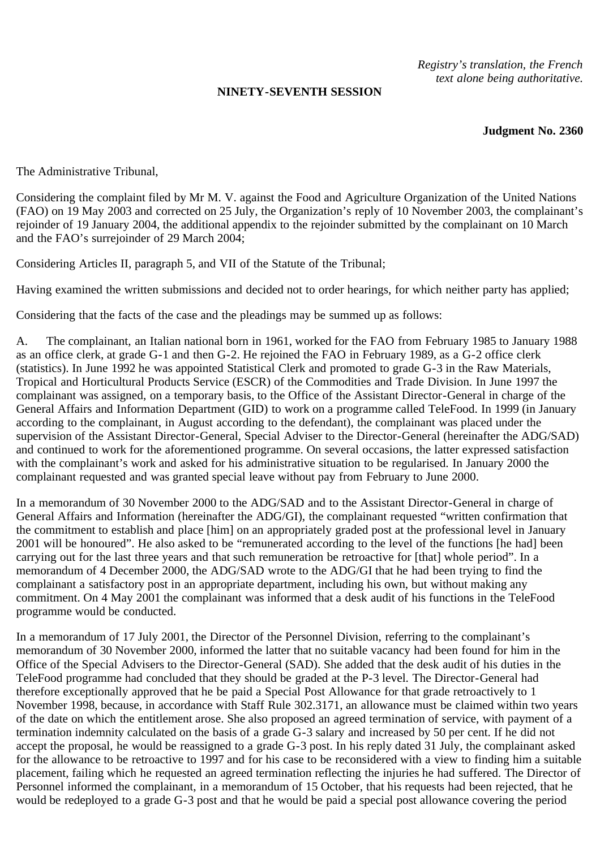## **NINETY-SEVENTH SESSION**

*Registry's translation, the French text alone being authoritative.*

**Judgment No. 2360**

The Administrative Tribunal,

Considering the complaint filed by Mr M. V. against the Food and Agriculture Organization of the United Nations (FAO) on 19 May 2003 and corrected on 25 July, the Organization's reply of 10 November 2003, the complainant's rejoinder of 19 January 2004, the additional appendix to the rejoinder submitted by the complainant on 10 March and the FAO's surrejoinder of 29 March 2004;

Considering Articles II, paragraph 5, and VII of the Statute of the Tribunal;

Having examined the written submissions and decided not to order hearings, for which neither party has applied;

Considering that the facts of the case and the pleadings may be summed up as follows:

A. The complainant, an Italian national born in 1961, worked for the FAO from February 1985 to January 1988 as an office clerk, at grade G-1 and then G-2. He rejoined the FAO in February 1989, as a G-2 office clerk (statistics). In June 1992 he was appointed Statistical Clerk and promoted to grade G-3 in the Raw Materials, Tropical and Horticultural Products Service (ESCR) of the Commodities and Trade Division. In June 1997 the complainant was assigned, on a temporary basis, to the Office of the Assistant Director-General in charge of the General Affairs and Information Department (GID) to work on a programme called TeleFood. In 1999 (in January according to the complainant, in August according to the defendant), the complainant was placed under the supervision of the Assistant Director-General, Special Adviser to the Director-General (hereinafter the ADG/SAD) and continued to work for the aforementioned programme. On several occasions, the latter expressed satisfaction with the complainant's work and asked for his administrative situation to be regularised. In January 2000 the complainant requested and was granted special leave without pay from February to June 2000.

In a memorandum of 30 November 2000 to the ADG/SAD and to the Assistant Director-General in charge of General Affairs and Information (hereinafter the ADG/GI), the complainant requested "written confirmation that the commitment to establish and place [him] on an appropriately graded post at the professional level in January 2001 will be honoured". He also asked to be "remunerated according to the level of the functions [he had] been carrying out for the last three years and that such remuneration be retroactive for [that] whole period". In a memorandum of 4 December 2000, the ADG/SAD wrote to the ADG/GI that he had been trying to find the complainant a satisfactory post in an appropriate department, including his own, but without making any commitment. On 4 May 2001 the complainant was informed that a desk audit of his functions in the TeleFood programme would be conducted.

In a memorandum of 17 July 2001, the Director of the Personnel Division, referring to the complainant's memorandum of 30 November 2000, informed the latter that no suitable vacancy had been found for him in the Office of the Special Advisers to the Director-General (SAD). She added that the desk audit of his duties in the TeleFood programme had concluded that they should be graded at the P-3 level. The Director-General had therefore exceptionally approved that he be paid a Special Post Allowance for that grade retroactively to 1 November 1998, because, in accordance with Staff Rule 302.3171, an allowance must be claimed within two years of the date on which the entitlement arose. She also proposed an agreed termination of service, with payment of a termination indemnity calculated on the basis of a grade G-3 salary and increased by 50 per cent. If he did not accept the proposal, he would be reassigned to a grade G-3 post. In his reply dated 31 July, the complainant asked for the allowance to be retroactive to 1997 and for his case to be reconsidered with a view to finding him a suitable placement, failing which he requested an agreed termination reflecting the injuries he had suffered. The Director of Personnel informed the complainant, in a memorandum of 15 October, that his requests had been rejected, that he would be redeployed to a grade G-3 post and that he would be paid a special post allowance covering the period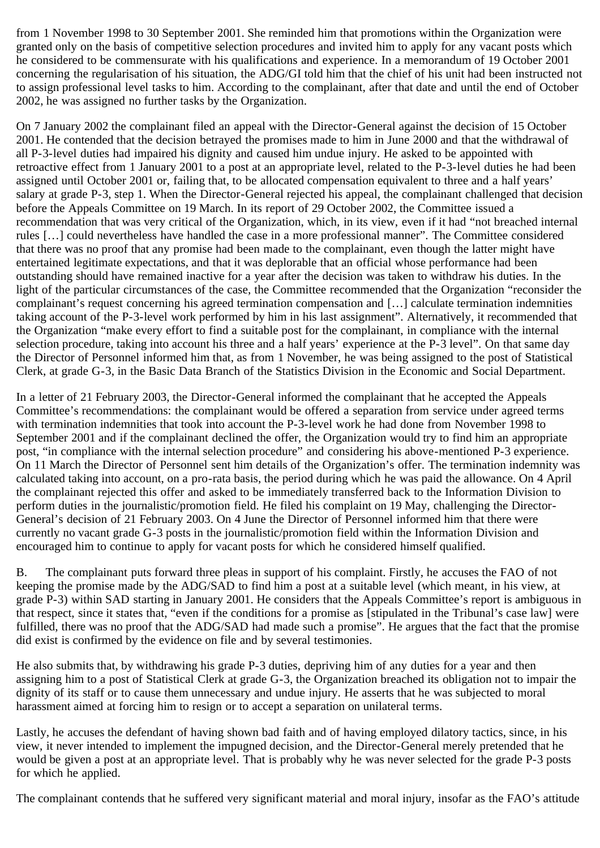from 1 November 1998 to 30 September 2001. She reminded him that promotions within the Organization were granted only on the basis of competitive selection procedures and invited him to apply for any vacant posts which he considered to be commensurate with his qualifications and experience. In a memorandum of 19 October 2001 concerning the regularisation of his situation, the ADG/GI told him that the chief of his unit had been instructed not to assign professional level tasks to him. According to the complainant, after that date and until the end of October 2002, he was assigned no further tasks by the Organization.

On 7 January 2002 the complainant filed an appeal with the Director-General against the decision of 15 October 2001. He contended that the decision betrayed the promises made to him in June 2000 and that the withdrawal of all P-3-level duties had impaired his dignity and caused him undue injury. He asked to be appointed with retroactive effect from 1 January 2001 to a post at an appropriate level, related to the P-3-level duties he had been assigned until October 2001 or, failing that, to be allocated compensation equivalent to three and a half years' salary at grade P-3, step 1. When the Director-General rejected his appeal, the complainant challenged that decision before the Appeals Committee on 19 March. In its report of 29 October 2002, the Committee issued a recommendation that was very critical of the Organization, which, in its view, even if it had "not breached internal rules […] could nevertheless have handled the case in a more professional manner". The Committee considered that there was no proof that any promise had been made to the complainant, even though the latter might have entertained legitimate expectations, and that it was deplorable that an official whose performance had been outstanding should have remained inactive for a year after the decision was taken to withdraw his duties. In the light of the particular circumstances of the case, the Committee recommended that the Organization "reconsider the complainant's request concerning his agreed termination compensation and […] calculate termination indemnities taking account of the P-3-level work performed by him in his last assignment". Alternatively, it recommended that the Organization "make every effort to find a suitable post for the complainant, in compliance with the internal selection procedure, taking into account his three and a half years' experience at the P-3 level". On that same day the Director of Personnel informed him that, as from 1 November, he was being assigned to the post of Statistical Clerk, at grade G-3, in the Basic Data Branch of the Statistics Division in the Economic and Social Department.

In a letter of 21 February 2003, the Director-General informed the complainant that he accepted the Appeals Committee's recommendations: the complainant would be offered a separation from service under agreed terms with termination indemnities that took into account the P-3-level work he had done from November 1998 to September 2001 and if the complainant declined the offer, the Organization would try to find him an appropriate post, "in compliance with the internal selection procedure" and considering his above-mentioned P-3 experience. On 11 March the Director of Personnel sent him details of the Organization's offer. The termination indemnity was calculated taking into account, on a pro-rata basis, the period during which he was paid the allowance. On 4 April the complainant rejected this offer and asked to be immediately transferred back to the Information Division to perform duties in the journalistic/promotion field. He filed his complaint on 19 May, challenging the Director-General's decision of 21 February 2003. On 4 June the Director of Personnel informed him that there were currently no vacant grade G-3 posts in the journalistic/promotion field within the Information Division and encouraged him to continue to apply for vacant posts for which he considered himself qualified.

B. The complainant puts forward three pleas in support of his complaint. Firstly, he accuses the FAO of not keeping the promise made by the ADG/SAD to find him a post at a suitable level (which meant, in his view, at grade P-3) within SAD starting in January 2001. He considers that the Appeals Committee's report is ambiguous in that respect, since it states that, "even if the conditions for a promise as [stipulated in the Tribunal's case law] were fulfilled, there was no proof that the ADG/SAD had made such a promise". He argues that the fact that the promise did exist is confirmed by the evidence on file and by several testimonies.

He also submits that, by withdrawing his grade P-3 duties, depriving him of any duties for a year and then assigning him to a post of Statistical Clerk at grade G-3, the Organization breached its obligation not to impair the dignity of its staff or to cause them unnecessary and undue injury. He asserts that he was subjected to moral harassment aimed at forcing him to resign or to accept a separation on unilateral terms.

Lastly, he accuses the defendant of having shown bad faith and of having employed dilatory tactics, since, in his view, it never intended to implement the impugned decision, and the Director-General merely pretended that he would be given a post at an appropriate level. That is probably why he was never selected for the grade P-3 posts for which he applied.

The complainant contends that he suffered very significant material and moral injury, insofar as the FAO's attitude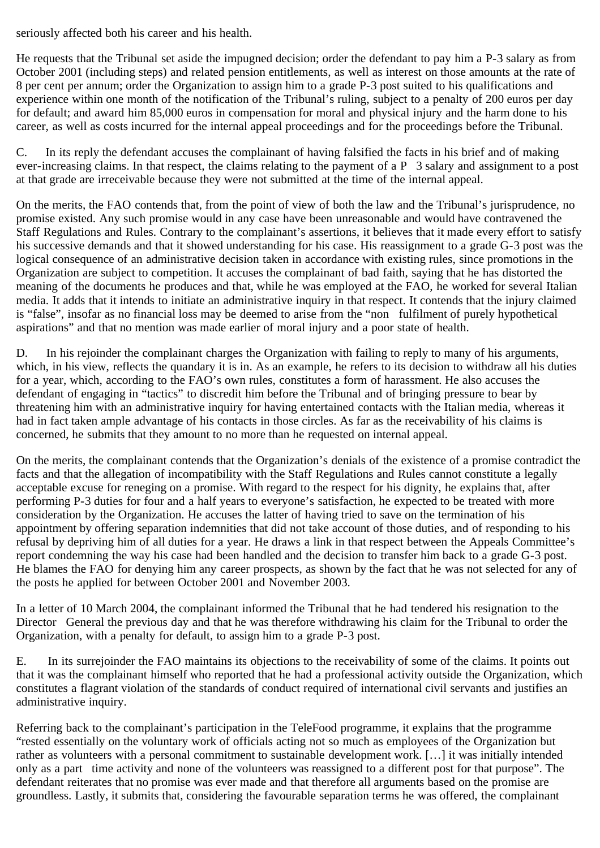seriously affected both his career and his health.

He requests that the Tribunal set aside the impugned decision; order the defendant to pay him a P-3 salary as from October 2001 (including steps) and related pension entitlements, as well as interest on those amounts at the rate of 8 per cent per annum; order the Organization to assign him to a grade P-3 post suited to his qualifications and experience within one month of the notification of the Tribunal's ruling, subject to a penalty of 200 euros per day for default; and award him 85,000 euros in compensation for moral and physical injury and the harm done to his career, as well as costs incurred for the internal appeal proceedings and for the proceedings before the Tribunal.

C. In its reply the defendant accuses the complainant of having falsified the facts in his brief and of making ever-increasing claims. In that respect, the claims relating to the payment of a P 3 salary and assignment to a post at that grade are irreceivable because they were not submitted at the time of the internal appeal.

On the merits, the FAO contends that, from the point of view of both the law and the Tribunal's jurisprudence, no promise existed. Any such promise would in any case have been unreasonable and would have contravened the Staff Regulations and Rules. Contrary to the complainant's assertions, it believes that it made every effort to satisfy his successive demands and that it showed understanding for his case. His reassignment to a grade G-3 post was the logical consequence of an administrative decision taken in accordance with existing rules, since promotions in the Organization are subject to competition. It accuses the complainant of bad faith, saying that he has distorted the meaning of the documents he produces and that, while he was employed at the FAO, he worked for several Italian media. It adds that it intends to initiate an administrative inquiry in that respect. It contends that the injury claimed is "false", insofar as no financial loss may be deemed to arise from the "non fulfilment of purely hypothetical aspirations" and that no mention was made earlier of moral injury and a poor state of health.

D. In his rejoinder the complainant charges the Organization with failing to reply to many of his arguments, which, in his view, reflects the quandary it is in. As an example, he refers to its decision to withdraw all his duties for a year, which, according to the FAO's own rules, constitutes a form of harassment. He also accuses the defendant of engaging in "tactics" to discredit him before the Tribunal and of bringing pressure to bear by threatening him with an administrative inquiry for having entertained contacts with the Italian media, whereas it had in fact taken ample advantage of his contacts in those circles. As far as the receivability of his claims is concerned, he submits that they amount to no more than he requested on internal appeal.

On the merits, the complainant contends that the Organization's denials of the existence of a promise contradict the facts and that the allegation of incompatibility with the Staff Regulations and Rules cannot constitute a legally acceptable excuse for reneging on a promise. With regard to the respect for his dignity, he explains that, after performing P-3 duties for four and a half years to everyone's satisfaction, he expected to be treated with more consideration by the Organization. He accuses the latter of having tried to save on the termination of his appointment by offering separation indemnities that did not take account of those duties, and of responding to his refusal by depriving him of all duties for a year. He draws a link in that respect between the Appeals Committee's report condemning the way his case had been handled and the decision to transfer him back to a grade G-3 post. He blames the FAO for denying him any career prospects, as shown by the fact that he was not selected for any of the posts he applied for between October 2001 and November 2003.

In a letter of 10 March 2004, the complainant informed the Tribunal that he had tendered his resignation to the Director General the previous day and that he was therefore withdrawing his claim for the Tribunal to order the Organization, with a penalty for default, to assign him to a grade P-3 post.

E. In its surrejoinder the FAO maintains its objections to the receivability of some of the claims. It points out that it was the complainant himself who reported that he had a professional activity outside the Organization, which constitutes a flagrant violation of the standards of conduct required of international civil servants and justifies an administrative inquiry.

Referring back to the complainant's participation in the TeleFood programme, it explains that the programme "rested essentially on the voluntary work of officials acting not so much as employees of the Organization but rather as volunteers with a personal commitment to sustainable development work. […] it was initially intended only as a part time activity and none of the volunteers was reassigned to a different post for that purpose". The defendant reiterates that no promise was ever made and that therefore all arguments based on the promise are groundless. Lastly, it submits that, considering the favourable separation terms he was offered, the complainant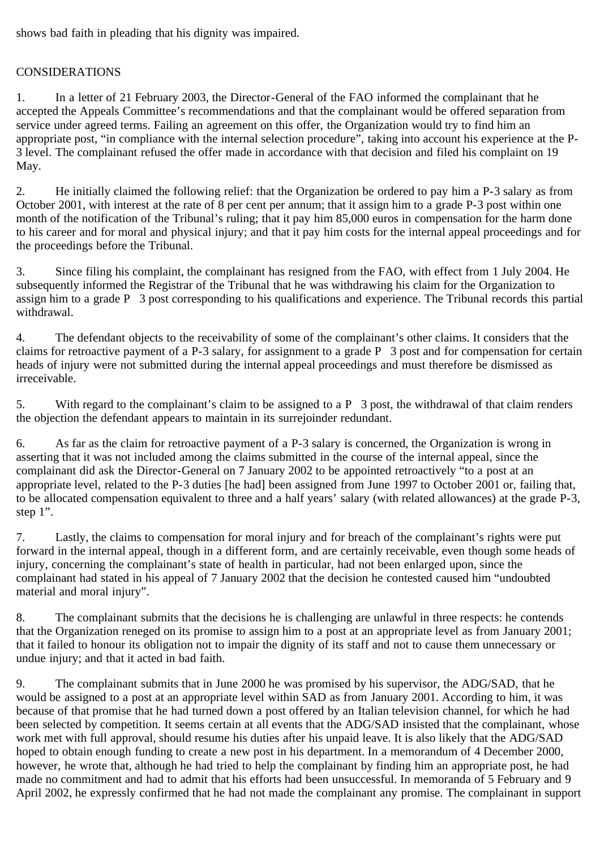shows bad faith in pleading that his dignity was impaired.

## CONSIDERATIONS

1. In a letter of 21 February 2003, the Director-General of the FAO informed the complainant that he accepted the Appeals Committee's recommendations and that the complainant would be offered separation from service under agreed terms. Failing an agreement on this offer, the Organization would try to find him an appropriate post, "in compliance with the internal selection procedure", taking into account his experience at the P-3 level. The complainant refused the offer made in accordance with that decision and filed his complaint on 19 May.

2. He initially claimed the following relief: that the Organization be ordered to pay him a P-3 salary as from October 2001, with interest at the rate of 8 per cent per annum; that it assign him to a grade P-3 post within one month of the notification of the Tribunal's ruling; that it pay him 85,000 euros in compensation for the harm done to his career and for moral and physical injury; and that it pay him costs for the internal appeal proceedings and for the proceedings before the Tribunal.

3. Since filing his complaint, the complainant has resigned from the FAO, with effect from 1 July 2004. He subsequently informed the Registrar of the Tribunal that he was withdrawing his claim for the Organization to assign him to a grade P 3 post corresponding to his qualifications and experience. The Tribunal records this partial withdrawal.

4. The defendant objects to the receivability of some of the complainant's other claims. It considers that the claims for retroactive payment of a P-3 salary, for assignment to a grade P 3 post and for compensation for certain heads of injury were not submitted during the internal appeal proceedings and must therefore be dismissed as irreceivable.

5. With regard to the complainant's claim to be assigned to a P 3 post, the withdrawal of that claim renders the objection the defendant appears to maintain in its surrejoinder redundant.

6. As far as the claim for retroactive payment of a P-3 salary is concerned, the Organization is wrong in asserting that it was not included among the claims submitted in the course of the internal appeal, since the complainant did ask the Director-General on 7 January 2002 to be appointed retroactively "to a post at an appropriate level, related to the P-3 duties [he had] been assigned from June 1997 to October 2001 or, failing that, to be allocated compensation equivalent to three and a half years' salary (with related allowances) at the grade P-3, step 1".

7. Lastly, the claims to compensation for moral injury and for breach of the complainant's rights were put forward in the internal appeal, though in a different form, and are certainly receivable, even though some heads of injury, concerning the complainant's state of health in particular, had not been enlarged upon, since the complainant had stated in his appeal of 7 January 2002 that the decision he contested caused him "undoubted material and moral injury".

8. The complainant submits that the decisions he is challenging are unlawful in three respects: he contends that the Organization reneged on its promise to assign him to a post at an appropriate level as from January 2001; that it failed to honour its obligation not to impair the dignity of its staff and not to cause them unnecessary or undue injury; and that it acted in bad faith.

9. The complainant submits that in June 2000 he was promised by his supervisor, the ADG/SAD, that he would be assigned to a post at an appropriate level within SAD as from January 2001. According to him, it was because of that promise that he had turned down a post offered by an Italian television channel, for which he had been selected by competition. It seems certain at all events that the ADG/SAD insisted that the complainant, whose work met with full approval, should resume his duties after his unpaid leave. It is also likely that the ADG/SAD hoped to obtain enough funding to create a new post in his department. In a memorandum of 4 December 2000, however, he wrote that, although he had tried to help the complainant by finding him an appropriate post, he had made no commitment and had to admit that his efforts had been unsuccessful. In memoranda of 5 February and 9 April 2002, he expressly confirmed that he had not made the complainant any promise. The complainant in support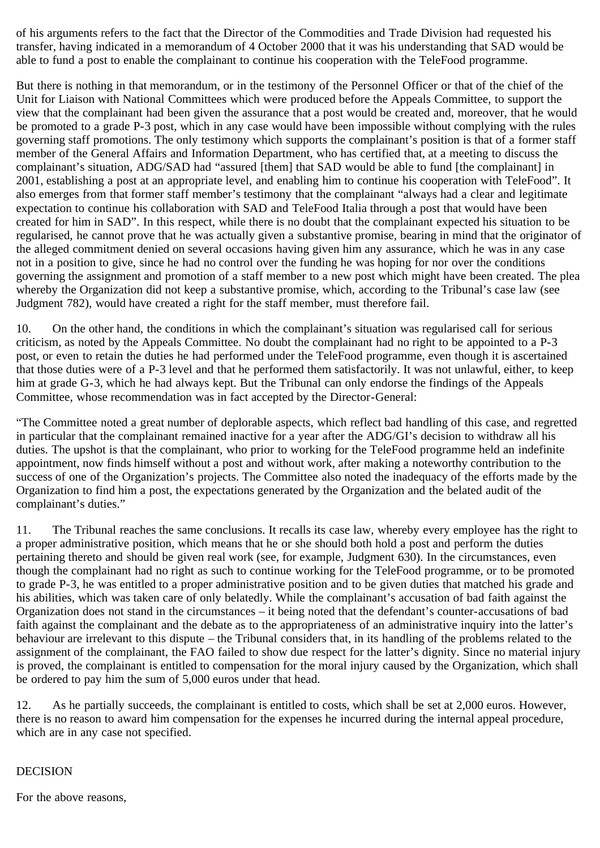of his arguments refers to the fact that the Director of the Commodities and Trade Division had requested his transfer, having indicated in a memorandum of 4 October 2000 that it was his understanding that SAD would be able to fund a post to enable the complainant to continue his cooperation with the TeleFood programme.

But there is nothing in that memorandum, or in the testimony of the Personnel Officer or that of the chief of the Unit for Liaison with National Committees which were produced before the Appeals Committee, to support the view that the complainant had been given the assurance that a post would be created and, moreover, that he would be promoted to a grade P-3 post, which in any case would have been impossible without complying with the rules governing staff promotions. The only testimony which supports the complainant's position is that of a former staff member of the General Affairs and Information Department, who has certified that, at a meeting to discuss the complainant's situation, ADG/SAD had "assured [them] that SAD would be able to fund [the complainant] in 2001, establishing a post at an appropriate level, and enabling him to continue his cooperation with TeleFood". It also emerges from that former staff member's testimony that the complainant "always had a clear and legitimate expectation to continue his collaboration with SAD and TeleFood Italia through a post that would have been created for him in SAD". In this respect, while there is no doubt that the complainant expected his situation to be regularised, he cannot prove that he was actually given a substantive promise, bearing in mind that the originator of the alleged commitment denied on several occasions having given him any assurance, which he was in any case not in a position to give, since he had no control over the funding he was hoping for nor over the conditions governing the assignment and promotion of a staff member to a new post which might have been created. The plea whereby the Organization did not keep a substantive promise, which, according to the Tribunal's case law (see Judgment 782), would have created a right for the staff member, must therefore fail.

10. On the other hand, the conditions in which the complainant's situation was regularised call for serious criticism, as noted by the Appeals Committee. No doubt the complainant had no right to be appointed to a P-3 post, or even to retain the duties he had performed under the TeleFood programme, even though it is ascertained that those duties were of a P-3 level and that he performed them satisfactorily. It was not unlawful, either, to keep him at grade G-3, which he had always kept. But the Tribunal can only endorse the findings of the Appeals Committee, whose recommendation was in fact accepted by the Director-General:

"The Committee noted a great number of deplorable aspects, which reflect bad handling of this case, and regretted in particular that the complainant remained inactive for a year after the ADG/GI's decision to withdraw all his duties. The upshot is that the complainant, who prior to working for the TeleFood programme held an indefinite appointment, now finds himself without a post and without work, after making a noteworthy contribution to the success of one of the Organization's projects. The Committee also noted the inadequacy of the efforts made by the Organization to find him a post, the expectations generated by the Organization and the belated audit of the complainant's duties."

11. The Tribunal reaches the same conclusions. It recalls its case law, whereby every employee has the right to a proper administrative position, which means that he or she should both hold a post and perform the duties pertaining thereto and should be given real work (see, for example, Judgment 630). In the circumstances, even though the complainant had no right as such to continue working for the TeleFood programme, or to be promoted to grade P-3, he was entitled to a proper administrative position and to be given duties that matched his grade and his abilities, which was taken care of only belatedly. While the complainant's accusation of bad faith against the Organization does not stand in the circumstances – it being noted that the defendant's counter-accusations of bad faith against the complainant and the debate as to the appropriateness of an administrative inquiry into the latter's behaviour are irrelevant to this dispute – the Tribunal considers that, in its handling of the problems related to the assignment of the complainant, the FAO failed to show due respect for the latter's dignity. Since no material injury is proved, the complainant is entitled to compensation for the moral injury caused by the Organization, which shall be ordered to pay him the sum of 5,000 euros under that head.

12. As he partially succeeds, the complainant is entitled to costs, which shall be set at 2,000 euros. However, there is no reason to award him compensation for the expenses he incurred during the internal appeal procedure, which are in any case not specified.

## DECISION

For the above reasons,